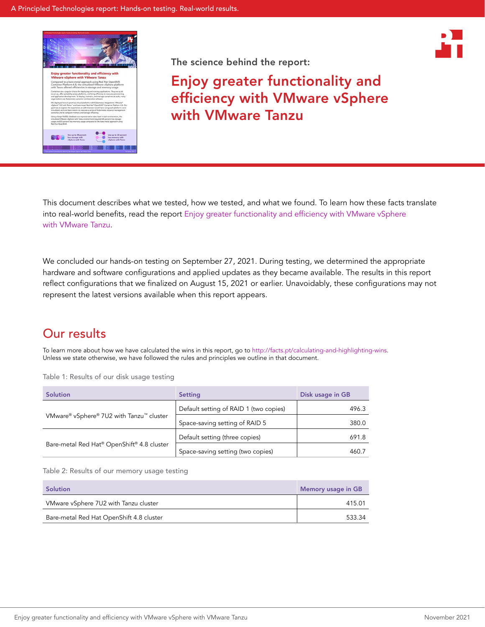



Enjoy greater functionality and efficiency with VMware vSphere with VMware Tanzu

This document describes what we tested, how we tested, and what we found. To learn how these facts translate into real-world benefits, read the report [Enjoy greater functionality and efficiency with VMware vSphere](https://facts.pt/yZoY2XZ)  [with VMware Tanzu](https://facts.pt/yZoY2XZ).

We concluded our hands-on testing on September 27, 2021. During testing, we determined the appropriate hardware and software configurations and applied updates as they became available. The results in this report reflect configurations that we finalized on August 15, 2021 or earlier. Unavoidably, these configurations may not represent the latest versions available when this report appears.

## Our results

To learn more about how we have calculated the wins in this report, go to<http://facts.pt/calculating-and-highlighting-wins>. Unless we state otherwise, we have followed the rules and principles we outline in that document.

Table 1: Results of our disk usage testing

| <b>Solution</b>                            | Setting                                | Disk usage in GB |
|--------------------------------------------|----------------------------------------|------------------|
| VMware® vSphere® 7U2 with Tanzu™ cluster   | Default setting of RAID 1 (two copies) | 496.3            |
|                                            | Space-saving setting of RAID 5         | 380.0            |
| Bare-metal Red Hat® OpenShift® 4.8 cluster | Default setting (three copies)         | 691.8            |
|                                            | Space-saving setting (two copies)      | 460.7            |

Table 2: Results of our memory usage testing

| Solution                                 | Memory usage in GB |
|------------------------------------------|--------------------|
| VMware vSphere 7U2 with Tanzu cluster    | 415.01             |
| Bare-metal Red Hat OpenShift 4.8 cluster | 533.34             |

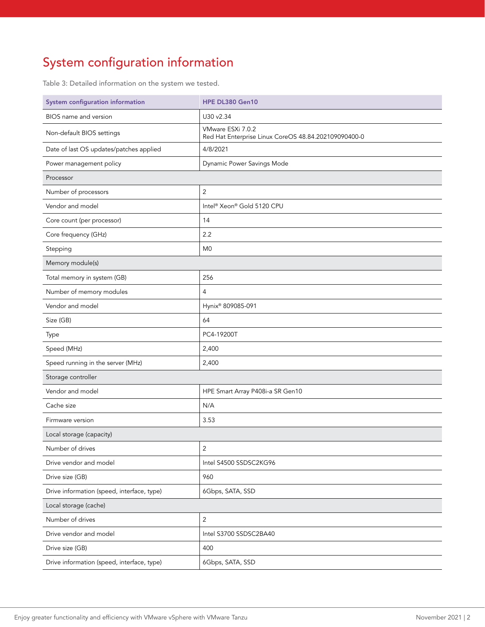# System configuration information

Table 3: Detailed information on the system we tested.

| System configuration information           | <b>HPE DL380 Gen10</b>                                                    |  |
|--------------------------------------------|---------------------------------------------------------------------------|--|
| BIOS name and version                      | U30 v2.34                                                                 |  |
| Non-default BIOS settings                  | VMware ESXi 7.0.2<br>Red Hat Enterprise Linux CoreOS 48.84.202109090400-0 |  |
| Date of last OS updates/patches applied    | 4/8/2021                                                                  |  |
| Power management policy                    | Dynamic Power Savings Mode                                                |  |
| Processor                                  |                                                                           |  |
| Number of processors                       | $\overline{2}$                                                            |  |
| Vendor and model                           | Intel® Xeon® Gold 5120 CPU                                                |  |
| Core count (per processor)                 | 14                                                                        |  |
| Core frequency (GHz)                       | 2.2                                                                       |  |
| Stepping                                   | M <sub>0</sub>                                                            |  |
| Memory module(s)                           |                                                                           |  |
| Total memory in system (GB)                | 256                                                                       |  |
| Number of memory modules                   | 4                                                                         |  |
| Vendor and model                           | Hynix® 809085-091                                                         |  |
| Size (GB)                                  | 64                                                                        |  |
| Type                                       | PC4-19200T                                                                |  |
| Speed (MHz)                                | 2,400                                                                     |  |
| Speed running in the server (MHz)          | 2,400                                                                     |  |
| Storage controller                         |                                                                           |  |
| Vendor and model                           | HPE Smart Array P408i-a SR Gen10                                          |  |
| Cache size                                 | N/A                                                                       |  |
| Firmware version                           | 3.53                                                                      |  |
| Local storage (capacity)                   |                                                                           |  |
| Number of drives                           | $\overline{2}$                                                            |  |
| Drive vendor and model                     | Intel S4500 SSDSC2KG96                                                    |  |
| Drive size (GB)                            | 960                                                                       |  |
| Drive information (speed, interface, type) | 6Gbps, SATA, SSD                                                          |  |
| Local storage (cache)                      |                                                                           |  |
| Number of drives                           | $\sqrt{2}$                                                                |  |
| Drive vendor and model                     | Intel S3700 SSDSC2BA40                                                    |  |
| Drive size (GB)                            | 400                                                                       |  |
| Drive information (speed, interface, type) | 6Gbps, SATA, SSD                                                          |  |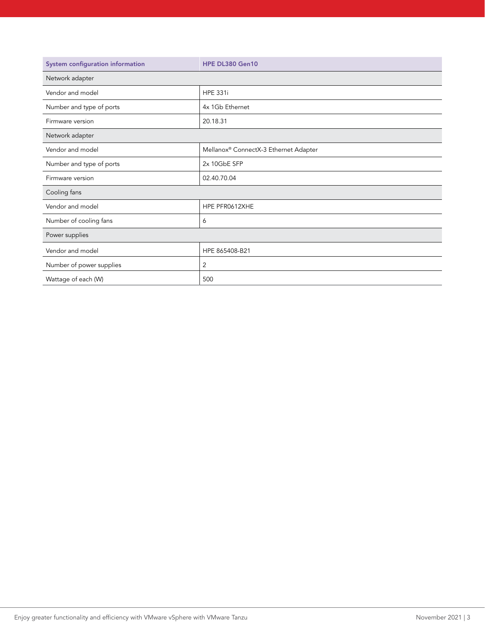| System configuration information | <b>HPE DL380 Gen10</b>                |
|----------------------------------|---------------------------------------|
| Network adapter                  |                                       |
| Vendor and model                 | <b>HPE 331i</b>                       |
| Number and type of ports         | 4x 1Gb Ethernet                       |
| Firmware version                 | 20.18.31                              |
| Network adapter                  |                                       |
| Vendor and model                 | Mellanox® ConnectX-3 Ethernet Adapter |
| Number and type of ports         | 2x 10GbE SFP                          |
| Firmware version                 | 02.40.70.04                           |
| Cooling fans                     |                                       |
| Vendor and model                 | HPE PFR0612XHE                        |
| Number of cooling fans           | 6                                     |
| Power supplies                   |                                       |
| Vendor and model                 | HPE 865408-B21                        |
| Number of power supplies         | 2                                     |
| Wattage of each (W)              | 500                                   |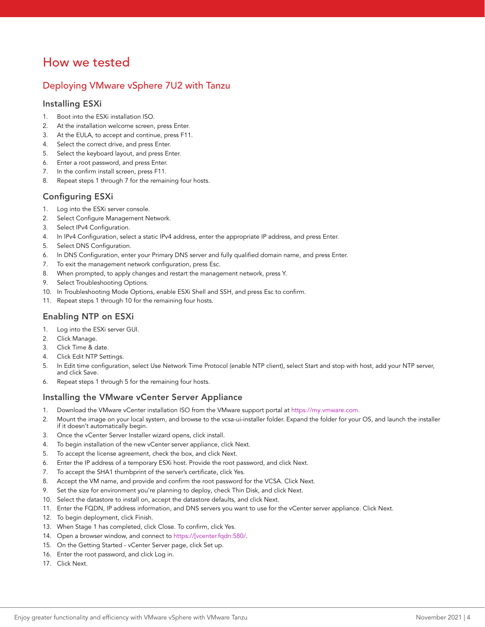## How we tested

### Deploying VMware vSphere 7U2 with Tanzu

#### Installing ESXi

- 1. Boot into the ESXi installation ISO.
- 2. At the installation welcome screen, press Enter.
- 3. At the EULA, to accept and continue, press F11.
- 4. Select the correct drive, and press Enter.
- 5. Select the keyboard layout, and press Enter.
- 6. Enter a root password, and press Enter.
- 7. In the confirm install screen, press F11.
- 8. Repeat steps 1 through 7 for the remaining four hosts.

#### Configuring ESXi

- 1. Log into the ESXi server console.
- 2. Select Configure Management Network.
- 3. Select IPv4 Configuration.
- 4. In IPv4 Configuration, select a static IPv4 address, enter the appropriate IP address, and press Enter.
- 5. Select DNS Configuration.
- 6. In DNS Configuration, enter your Primary DNS server and fully qualified domain name, and press Enter.
- 7. To exit the management network configuration, press Esc.
- 8. When prompted, to apply changes and restart the management network, press Y.
- 9. Select Troubleshooting Options.
- 10. In Troubleshooting Mode Options, enable ESXi Shell and SSH, and press Esc to confirm.
- 11. Repeat steps 1 through 10 for the remaining four hosts.

#### Enabling NTP on ESXi

- 1. Log into the ESXi server GUI.
- 2. Click Manage.
- 3. Click Time & date.
- 4. Click Edit NTP Settings.
- 5. In Edit time configuration, select Use Network Time Protocol (enable NTP client), select Start and stop with host, add your NTP server, and click Save.
- 6. Repeat steps 1 through 5 for the remaining four hosts.

#### Installing the VMware vCenter Server Appliance

- 1. Download the VMware vCenter installation ISO from the VMware support portal at <https://my.vmware.com>.
- 2. Mount the image on your local system, and browse to the vcsa-ui-installer folder. Expand the folder for your OS, and launch the installer if it doesn't automatically begin.
- 3. Once the vCenter Server Installer wizard opens, click install.
- 4. To begin installation of the new vCenter server appliance, click Next.
- 5. To accept the license agreement, check the box, and click Next.
- 6. Enter the IP address of a temporary ESXi host. Provide the root password, and click Next.
- 7. To accept the SHA1 thumbprint of the server's certificate, click Yes.
- 8. Accept the VM name, and provide and confirm the root password for the VCSA. Click Next.
- 9. Set the size for environment you're planning to deploy, check Thin Disk, and click Next.
- 10. Select the datastore to install on, accept the datastore defaults, and click Next.
- 11. Enter the FQDN, IP address information, and DNS servers you want to use for the vCenter server appliance. Click Next.
- 12. To begin deployment, click Finish.
- 13. When Stage 1 has completed, click Close. To confirm, click Yes.
- 14. Open a browser window, and connect to https://[vcenter.fqdn:580/.
- 15. On the Getting Started vCenter Server page, click Set up.
- 16. Enter the root password, and click Log in.
- 17. Click Next.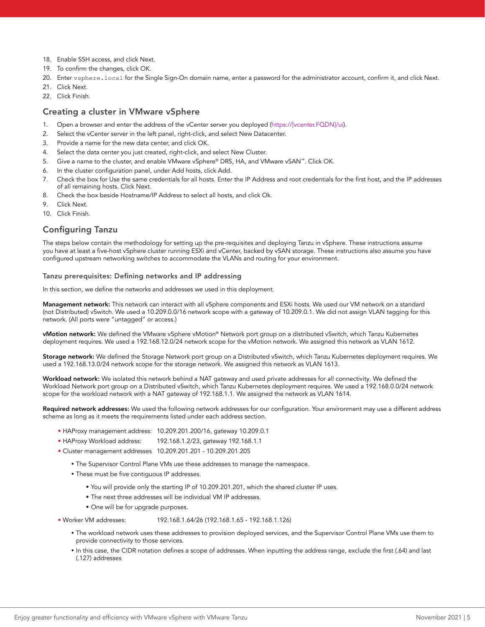- 18. Enable SSH access, and click Next.
- 19. To confirm the changes, click OK.
- 20. Enter vsphere.local for the Single Sign-On domain name, enter a password for the administrator account, confirm it, and click Next.
- 21 Click Next
- 22. Click Finish.

#### Creating a cluster in VMware vSphere

- 1. Open a browser and enter the address of the vCenter server you deployed (https://[vcenter.FQDN]/ui).
- 2. Select the vCenter server in the left panel, right-click, and select New Datacenter.
- 3. Provide a name for the new data center, and click OK.
- 4. Select the data center you just created, right-click, and select New Cluster.
- 5. Give a name to the cluster, and enable VMware vSphere® DRS, HA, and VMware vSAN™. Click OK.
- 6. In the cluster configuration panel, under Add hosts, click Add.
- 7. Check the box for Use the same credentials for all hosts. Enter the IP Address and root credentials for the first host, and the IP addresses of all remaining hosts. Click Next.
- 8. Check the box beside Hostname/IP Address to select all hosts, and click Ok.
- 9. Click Next.
- 10. Click Finish.

### Configuring Tanzu

The steps below contain the methodology for setting up the pre-requisites and deploying Tanzu in vSphere. These instructions assume you have at least a five-host vSphere cluster running ESXi and vCenter, backed by vSAN storage. These instructions also assume you have configured upstream networking switches to accommodate the VLANs and routing for your environment.

#### Tanzu prerequisites: Defining networks and IP addressing

In this section, we define the networks and addresses we used in this deployment.

Management network: This network can interact with all vSphere components and ESXi hosts. We used our VM network on a standard (not Distributed) vSwitch. We used a 10.209.0.0/16 network scope with a gateway of 10.209.0.1. We did not assign VLAN tagging for this network. (All ports were "untagged" or access.)

vMotion network: We defined the VMware vSphere vMotion® Network port group on a distributed vSwitch, which Tanzu Kubernetes deployment requires. We used a 192.168.12.0/24 network scope for the vMotion network. We assigned this network as VLAN 1612.

Storage network: We defined the Storage Network port group on a Distributed vSwitch, which Tanzu Kubernetes deployment requires. We used a 192.168.13.0/24 network scope for the storage network. We assigned this network as VLAN 1613.

Workload network: We isolated this network behind a NAT gateway and used private addresses for all connectivity. We defined the Workload Network port group on a Distributed vSwitch, which Tanzu Kubernetes deployment requires. We used a 192.168.0.0/24 network scope for the workload network with a NAT gateway of 192.168.1.1. We assigned the network as VLAN 1614.

Required network addresses: We used the following network addresses for our configuration. Your environment may use a different address scheme as long as it meets the requirements listed under each address section.

- HAProxy management address: 10.209.201.200/16, gateway 10.209.0.1
- HAProxy Workload address: 192.168.1.2/23, gateway 192.168.1.1
- Cluster management addresses 10.209.201.201 10.209.201.205
	- The Supervisor Control Plane VMs use these addresses to manage the namespace.
	- These must be five contiguous IP addresses.
		- You will provide only the starting IP of 10.209.201.201, which the shared cluster IP uses.
		- The next three addresses will be individual VM IP addresses.
		- One will be for upgrade purposes.
- Worker VM addresses: 192.168.1.64/26 (192.168.1.65 192.168.1.126)
	- y The workload network uses these addresses to provision deployed services, and the Supervisor Control Plane VMs use them to provide connectivity to those services.
	- In this case, the CIDR notation defines a scope of addresses. When inputting the address range, exclude the first (.64) and last (.127) addresses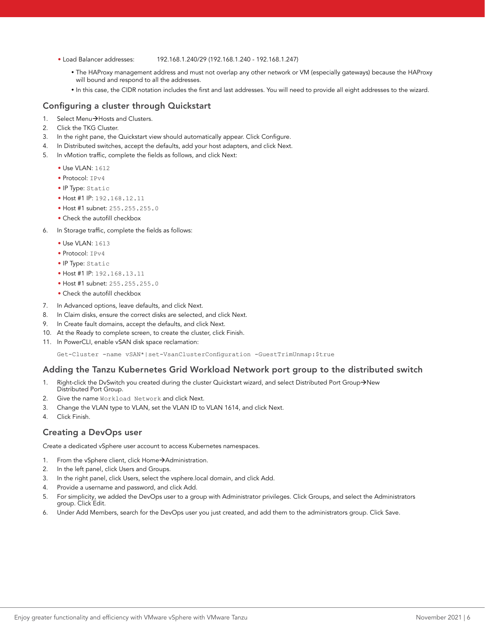#### • Load Balancer addresses: 192.168.1.240/29 (192.168.1.240 - 192.168.1.247)

- The HAProxy management address and must not overlap any other network or VM (especially gateways) because the HAProxy will bound and respond to all the addresses.
- y In this case, the CIDR notation includes the first and last addresses. You will need to provide all eight addresses to the wizard.

#### Configuring a cluster through Quickstart

- 1. Select Menu $\rightarrow$ Hosts and Clusters.
- 2. Click the TKG Cluster.
- 3. In the right pane, the Quickstart view should automatically appear. Click Configure.
- 4. In Distributed switches, accept the defaults, add your host adapters, and click Next.
- 5. In vMotion traffic, complete the fields as follows, and click Next:
	- Use VLAN: 1612
	- Protocol: IPv4
	- IP Type: Static
	- Host #1 IP: 192.168.12.11
	- Host #1 subnet: 255.255.255.0
	- Check the autofill checkbox
- 6. In Storage traffic, complete the fields as follows:
	- Use VLAN: 1613
	- Protocol: IPv4
	- IP Type: Static
	- Host #1 IP: 192.168.13.11
	- Host #1 subnet: 255.255.255.0
	- Check the autofill checkbox
- 7. In Advanced options, leave defaults, and click Next.
- 8. In Claim disks, ensure the correct disks are selected, and click Next.
- 9. In Create fault domains, accept the defaults, and click Next.
- 10. At the Ready to complete screen, to create the cluster, click Finish.
- 11. In PowerCLI, enable vSAN disk space reclamation:

Get-Cluster -name vSAN\*|set-VsanClusterConfiguration -GuestTrimUnmap:\$true

#### Adding the Tanzu Kubernetes Grid Workload Network port group to the distributed switch

- 1. Right-click the DvSwitch you created during the cluster Quickstart wizard, and select Distributed Port Group->New Distributed Port Group.
- 2. Give the name Workload Network and click Next.
- 3. Change the VLAN type to VLAN, set the VLAN ID to VLAN 1614, and click Next.
- 4. Click Finish.

#### Creating a DevOps user

Create a dedicated vSphere user account to access Kubernetes namespaces.

- 1. From the vSphere client, click Home->Administration.
- 2. In the left panel, click Users and Groups.
- 3. In the right panel, click Users, select the vsphere.local domain, and click Add.
- 4. Provide a username and password, and click Add.
- 5. For simplicity, we added the DevOps user to a group with Administrator privileges. Click Groups, and select the Administrators group. Click Edit.
- 6. Under Add Members, search for the DevOps user you just created, and add them to the administrators group. Click Save.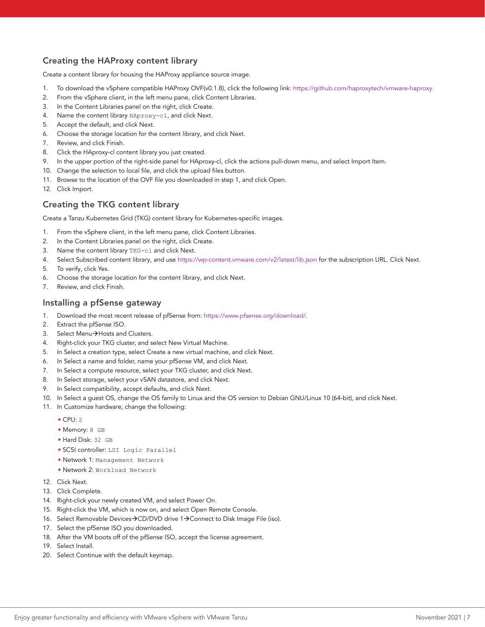### Creating the HAProxy content library

Create a content library for housing the HAProxy appliance source image.

- 1. To download the vSphere compatible HAProxy OVF(v0.1.8), click the following link: [https://github.com/haproxytech/vmware-haproxy.](https://github.com/haproxytech/vmware-haproxy)
- 2. From the vSphere client, in the left menu pane, click Content Libraries.
- 3. In the Content Libraries panel on the right, click Create.
- 4. Name the content library HAproxy-cl, and click Next.
- 5. Accept the default, and click Next.
- 6. Choose the storage location for the content library, and click Next.
- 7. Review, and click Finish.
- 8. Click the HAproxy-cl content library you just created.
- 9. In the upper portion of the right-side panel for HAproxy-cl, click the actions pull-down menu, and select Import Item.
- 10. Change the selection to local file, and click the upload files button.
- 11. Browse to the location of the OVF file you downloaded in step 1, and click Open.
- 12. Click Import.

### Creating the TKG content library

Create a Tanzu Kubernetes Grid (TKG) content library for Kubernetes-specific images.

- 1. From the vSphere client, in the left menu pane, click Content Libraries.
- 2. In the Content Libraries panel on the right, click Create.
- 3. Name the content library TKG-cl and click Next.
- 4. Select Subscribed content library, and use<https://wp-content.vmware.com/v2/latest/lib.json> for the subscription URL. Click Next.
- 5. To verify, click Yes.
- 6. Choose the storage location for the content library, and click Next.
- 7. Review, and click Finish.

#### Installing a pfSense gateway

- 1. Download the most recent release of pfSense from: <https://www.pfsense.org/download/>.
- 2. Extract the pfSense ISO.
- 3. Select Menu->Hosts and Clusters.
- 4. Right-click your TKG cluster, and select New Virtual Machine.
- 5. In Select a creation type, select Create a new virtual machine, and click Next.
- 6. In Select a name and folder, name your pfSense VM, and click Next.
- 7. In Select a compute resource, select your TKG cluster, and click Next.
- 8. In Select storage, select your vSAN datastore, and click Next.
- 9. In Select compatibility, accept defaults, and click Next.
- 10. In Select a guest OS, change the OS family to Linux and the OS version to Debian GNU/Linux 10 (64-bit), and click Next.
- 11. In Customize hardware, change the following:
	- CPU: 2
	- Memory: 8 GB
	- Hard Disk: 32 GB
	- SCSI controller: LSI Logic Parallel
	- Network 1: Management Network
	- Network 2: Workload Network
- 12. Click Next.
- 13. Click Complete.
- 14. Right-click your newly created VM, and select Power On.
- 15. Right-click the VM, which is now on, and select Open Remote Console.
- 16. Select Removable Devices->CD/DVD drive 1->Connect to Disk Image File (iso).
- 17. Select the pfSense ISO you downloaded.
- 18. After the VM boots off of the pfSense ISO, accept the license agreement.
- 19. Select Install.
- 20. Select Continue with the default keymap.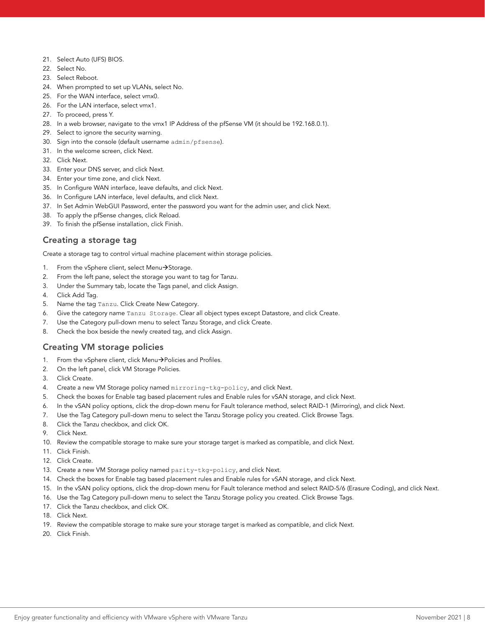- 21. Select Auto (UFS) BIOS.
- 22. Select No.
- 23. Select Reboot.
- 24. When prompted to set up VLANs, select No.
- 25. For the WAN interface, select vmx0.
- 26. For the LAN interface, select vmx1.
- 27. To proceed, press Y.
- 28. In a web browser, navigate to the vmx1 IP Address of the pfSense VM (it should be 192.168.0.1).
- 29. Select to ignore the security warning.
- 30. Sign into the console (default username admin/pfsense).
- 31. In the welcome screen, click Next.
- 32. Click Next.
- 33. Enter your DNS server, and click Next.
- 34. Enter your time zone, and click Next.
- 35. In Configure WAN interface, leave defaults, and click Next.
- 36. In Configure LAN interface, level defaults, and click Next.
- 37. In Set Admin WebGUI Password, enter the password you want for the admin user, and click Next.
- 38. To apply the pfSense changes, click Reload.
- 39. To finish the pfSense installation, click Finish.

### Creating a storage tag

Create a storage tag to control virtual machine placement within storage policies.

- 1. From the vSphere client, select Menu $\rightarrow$ Storage.
- 2. From the left pane, select the storage you want to tag for Tanzu.
- 3. Under the Summary tab, locate the Tags panel, and click Assign.
- 4. Click Add Tag.
- 5. Name the tag Tanzu. Click Create New Category.
- 6. Give the category name Tanzu Storage. Clear all object types except Datastore, and click Create.
- 7. Use the Category pull-down menu to select Tanzu Storage, and click Create.
- 8. Check the box beside the newly created tag, and click Assign.

#### Creating VM storage policies

- 1. From the vSphere client, click Menu->Policies and Profiles.
- 2. On the left panel, click VM Storage Policies.
- 3. Click Create.
- 4. Create a new VM Storage policy named mirroring-tkg-policy, and click Next.
- 5. Check the boxes for Enable tag based placement rules and Enable rules for vSAN storage, and click Next.
- 6. In the vSAN policy options, click the drop-down menu for Fault tolerance method, select RAID-1 (Mirroring), and click Next.
- 7. Use the Tag Category pull-down menu to select the Tanzu Storage policy you created. Click Browse Tags.
- 8. Click the Tanzu checkbox, and click OK.
- 9. Click Next.
- 10. Review the compatible storage to make sure your storage target is marked as compatible, and click Next.
- 11. Click Finish.
- 12. Click Create.
- 13. Create a new VM Storage policy named parity-tkg-policy, and click Next.
- 14. Check the boxes for Enable tag based placement rules and Enable rules for vSAN storage, and click Next.
- 15. In the vSAN policy options, click the drop-down menu for Fault tolerance method and select RAID-5/6 (Erasure Coding), and click Next.
- 16. Use the Tag Category pull-down menu to select the Tanzu Storage policy you created. Click Browse Tags.
- 17. Click the Tanzu checkbox, and click OK.
- 18. Click Next.
- 19. Review the compatible storage to make sure your storage target is marked as compatible, and click Next.
- 20. Click Finish.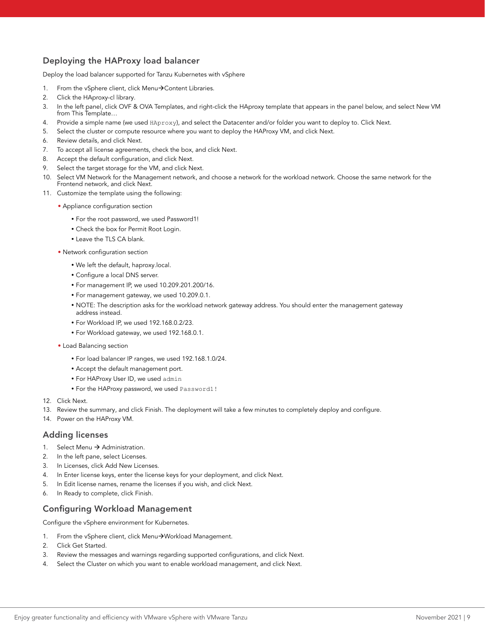### Deploying the HAProxy load balancer

Deploy the load balancer supported for Tanzu Kubernetes with vSphere

- 1. From the vSphere client, click Menu $\rightarrow$  Content Libraries.
- 2. Click the HAproxy-cl library.
- 3. In the left panel, click OVF & OVA Templates, and right-click the HAproxy template that appears in the panel below, and select New VM from This Template...
- 4. Provide a simple name (we used HAproxy), and select the Datacenter and/or folder you want to deploy to. Click Next.
- 5. Select the cluster or compute resource where you want to deploy the HAProxy VM, and click Next.
- 6. Review details, and click Next.
- 7. To accept all license agreements, check the box, and click Next.
- 8. Accept the default configuration, and click Next.
- 9. Select the target storage for the VM, and click Next.
- 10. Select VM Network for the Management network, and choose a network for the workload network. Choose the same network for the Frontend network, and click Next.
- 11. Customize the template using the following:
	- Appliance configuration section
		- y For the root password, we used Password1!
		- Check the box for Permit Root Login.
		- Leave the TLS CA blank.
	- Network configuration section
		- We left the default, haproxy.local.
		- Configure a local DNS server.
		- y For management IP, we used 10.209.201.200/16.
		- y For management gateway, we used 10.209.0.1.
		- NOTE: The description asks for the workload network gateway address. You should enter the management gateway address instead.
		- y For Workload IP, we used 192.168.0.2/23.
		- For Workload gateway, we used 192.168.0.1.
	- Load Balancing section
		- y For load balancer IP ranges, we used 192.168.1.0/24.
		- Accept the default management port.
		- For HAProxy User ID, we used admin
		- y For the HAProxy password, we used Password1!
- 12. Click Next.
- 13. Review the summary, and click Finish. The deployment will take a few minutes to completely deploy and configure.
- 14. Power on the HAProxy VM.

#### Adding licenses

- 1. Select Menu  $\rightarrow$  Administration.
- 2. In the left pane, select Licenses.
- 3. In Licenses, click Add New Licenses.
- 4. In Enter license keys, enter the license keys for your deployment, and click Next.
- 5. In Edit license names, rename the licenses if you wish, and click Next.
- 6. In Ready to complete, click Finish.

#### Configuring Workload Management

Configure the vSphere environment for Kubernetes.

- 1. From the vSphere client, click Menu->Workload Management.
- 2. Click Get Started.
- 3. Review the messages and warnings regarding supported configurations, and click Next.
- 4. Select the Cluster on which you want to enable workload management, and click Next.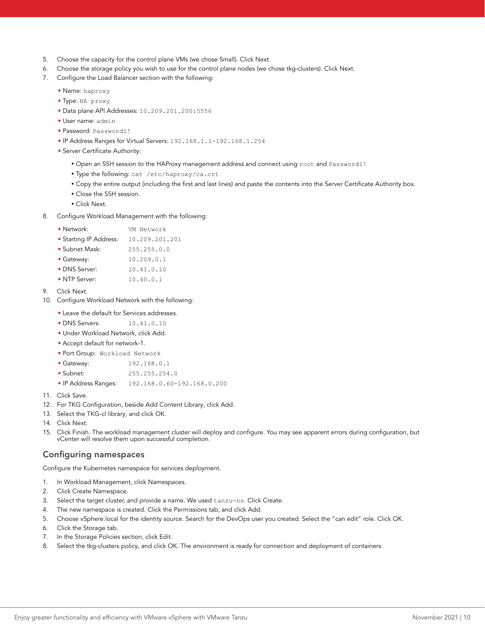- 5. Choose the capacity for the control plane VMs (we chose Small). Click Next.
- 6. Choose the storage policy you wish to use for the control plane nodes (we chose tkg-clusters). Click Next.
- 7. Configure the Load Balancer section with the following:
	- Name: haproxy
	- Type: HA proxy
	- Data plane API Addresses: 10.209.201.200:5556
	- User name: admin
	- Password: Password1!
	- IP Address Ranges for Virtual Servers: 192.168.1.1-192.168.1.254
	- Server Certificate Authority:
		- Open an SSH session to the HAProxy management address and connect using root and Password1!
		- Type the following: cat /etc/haproxy/ca.crt
		- Copy the entire output (including the first and last lines) and paste the contents into the Server Certificate Authority box.
		- Close the SSH session.
		- y Click Next.
- 8. Configure Workload Management with the following:

| • Network: |  | VM Network |
|------------|--|------------|
|------------|--|------------|

- Starting IP Address: 10.209.201.201
- Subnet Mask: 255.255.0.0
- Gateway: 10.209.0.1
- DNS Server: 10.41.0.10
- NTP Server: 10.40.0.1
- 9. Click Next.
- 10. Configure Workload Network with the following:
	- Leave the default for Services addresses.
	- DNS Servers: 10.41.0.10
	- Under Workload Network, click Add.
	- Accept default for network-1.
	- Port Group: Workload Network
	- Gateway: 192.168.0.1
	- Subnet: 255.255.254.0
	- IP Address Ranges: 192.168.0.60-192.168.0.200
- 11. Click Save.
- 12. For TKG Configuration, beside Add Content Library, click Add.
- 13. Select the TKG-cl library, and click OK.
- 14. Click Next.
- 15. Click Finish. The workload management cluster will deploy and configure. You may see apparent errors during configuration, but vCenter will resolve them upon successful completion.

#### Configuring namespaces

Configure the Kubernetes namespace for services deployment.

- 1. In Workload Management, click Namespaces.
- 2. Click Create Namespace.
- 3. Select the target cluster, and provide a name. We used tanzu-ns. Click Create.
- 4. The new namespace is created. Click the Permissions tab, and click Add.
- 5. Choose vSphere.local for the identity source. Search for the DevOps user you created. Select the "can edit" role. Click OK.
- 6. Click the Storage tab.
- 7. In the Storage Policies section, click Edit.
- 8. Select the tkg-clusters policy, and click OK. The environment is ready for connection and deployment of containers.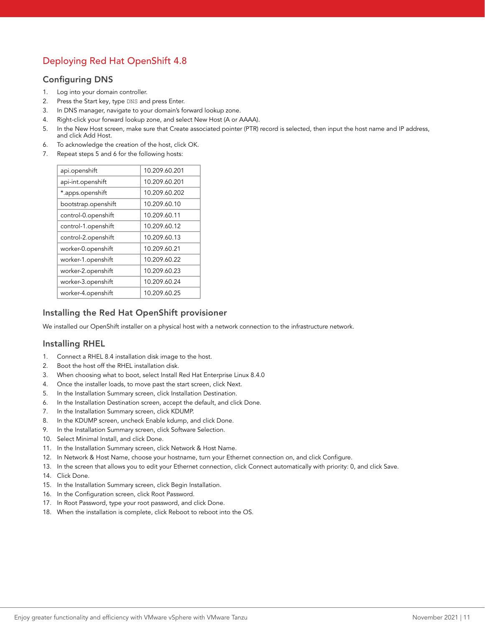## Deploying Red Hat OpenShift 4.8

### Configuring DNS

- 1. Log into your domain controller.
- 2. Press the Start key, type DNS and press Enter.
- 3. In DNS manager, navigate to your domain's forward lookup zone.
- 4. Right-click your forward lookup zone, and select New Host (A or AAAA).
- 5. In the New Host screen, make sure that Create associated pointer (PTR) record is selected, then input the host name and IP address, and click Add Host.
- 6. To acknowledge the creation of the host, click OK.
- 7. Repeat steps 5 and 6 for the following hosts:

| 10.209.60.201 |  |
|---------------|--|
| 10.209.60.201 |  |
| 10.209.60.202 |  |
| 10.209.60.10  |  |
| 10.209.60.11  |  |
| 10.209.60.12  |  |
| 10.209.60.13  |  |
| 10.209.60.21  |  |
| 10.209.60.22  |  |
| 10.209.60.23  |  |
| 10.209.60.24  |  |
| 10.209.60.25  |  |
|               |  |

### Installing the Red Hat OpenShift provisioner

We installed our OpenShift installer on a physical host with a network connection to the infrastructure network.

### Installing RHEL

- 1. Connect a RHEL 8.4 installation disk image to the host.
- 2. Boot the host off the RHEL installation disk.
- 3. When choosing what to boot, select Install Red Hat Enterprise Linux 8.4.0
- 4. Once the installer loads, to move past the start screen, click Next.
- 5. In the Installation Summary screen, click Installation Destination.
- 6. In the Installation Destination screen, accept the default, and click Done.
- 7. In the Installation Summary screen, click KDUMP.
- 8. In the KDUMP screen, uncheck Enable kdump, and click Done.
- 9. In the Installation Summary screen, click Software Selection.
- 10. Select Minimal Install, and click Done.
- 11. In the Installation Summary screen, click Network & Host Name.
- 12. In Network & Host Name, choose your hostname, turn your Ethernet connection on, and click Configure.
- 13. In the screen that allows you to edit your Ethernet connection, click Connect automatically with priority: 0, and click Save.
- 14. Click Done.
- 15. In the Installation Summary screen, click Begin Installation.
- 16. In the Configuration screen, click Root Password.
- 17. In Root Password, type your root password, and click Done.
- 18. When the installation is complete, click Reboot to reboot into the OS.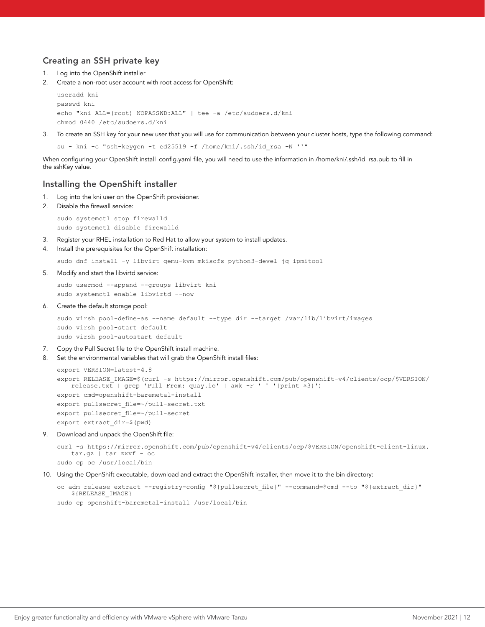### Creating an SSH private key

- 1. Log into the OpenShift installer
- 2. Create a non-root user account with root access for OpenShift:

```
useradd kni
passwd kni
echo "kni ALL=(root) NOPASSWD:ALL" | tee -a /etc/sudoers.d/kni
chmod 0440 /etc/sudoers.d/kni
```
3. To create an SSH key for your new user that you will use for communication between your cluster hosts, type the following command:

su - kni -c "ssh-keygen -t ed25519 -f /home/kni/.ssh/id\_rsa -N ''"

When configuring your OpenShift install\_config.yaml file, you will need to use the information in /home/kni/.ssh/id\_rsa.pub to fill in the sshKey value.

#### Installing the OpenShift installer

- 1. Log into the kni user on the OpenShift provisioner.
- 2. Disable the firewall service:

sudo systemctl stop firewalld sudo systemctl disable firewalld

- 3. Register your RHEL installation to Red Hat to allow your system to install updates.
- 4. Install the prerequisites for the OpenShift installation:

sudo dnf install -y libvirt qemu-kvm mkisofs python3-devel jq ipmitool

5. Modify and start the libvirtd service:

sudo usermod --append --groups libvirt kni sudo systemctl enable libvirtd --now

6. Create the default storage pool:

```
sudo virsh pool-define-as --name default --type dir --target /var/lib/libvirt/images
sudo virsh pool-start default
sudo virsh pool-autostart default
```
- 7. Copy the Pull Secret file to the OpenShift install machine.
- 8. Set the environmental variables that will grab the OpenShift install files:

```
export VERSION=latest-4.8
export RELEASE_IMAGE=$(curl -s https://mirror.openshift.com/pub/openshift-v4/clients/ocp/$VERSION/
   release.txt | grep 'Pull From: quay.io' | awk -F ' ' '{print $3}')
export cmd=openshift-baremetal-install
export pullsecret_file=~/pull-secret.txt
export pullsecret file=~/pull-secret
export extract_dir=$(pwd)
```
9. Download and unpack the OpenShift file:

```
curl -s https://mirror.openshift.com/pub/openshift-v4/clients/ocp/$VERSION/openshift-client-linux.
  tar.gz | tar zxvf - oc
sudo cp oc /usr/local/bin
```
10. Using the OpenShift executable, download and extract the OpenShift installer, then move it to the bin directory:

```
oc adm release extract --registry-config "${pullsecret file}" --command=$cmd --to "${extract dir}"
   ${RELEASE_IMAGE}
sudo cp openshift-baremetal-install /usr/local/bin
```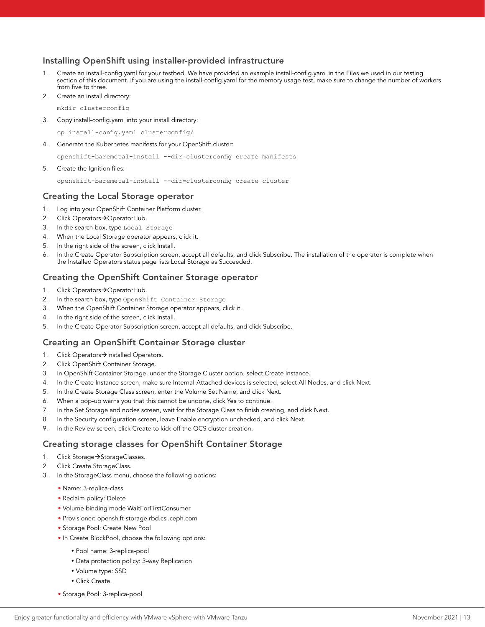#### Installing OpenShift using installer-provided infrastructure

- Create an install-config.yaml for your testbed. We have provided an example install-config.yaml in the Files we used in our testing section of this document. If you are using the install-config.yaml for the memory usage test, make sure to change the number of workers from five to three.
- 2. Create an install directory:

mkdir clusterconfig

3. Copy install-config.yaml into your install directory:

cp install-config.yaml clusterconfig/

4. Generate the Kubernetes manifests for your OpenShift cluster:

openshift-baremetal-install --dir=clusterconfig create manifests

5. Create the Ignition files:

openshift-baremetal-install --dir=clusterconfig create cluster

#### Creating the Local Storage operator

- 1. Log into your OpenShift Container Platform cluster.
- 2. Click Operators->OperatorHub.
- 3. In the search box, type Local Storage
- 4. When the Local Storage operator appears, click it.
- 5. In the right side of the screen, click Install.
- 6. In the Create Operator Subscription screen, accept all defaults, and click Subscribe. The installation of the operator is complete when the Installed Operators status page lists Local Storage as Succeeded.

#### Creating the OpenShift Container Storage operator

- 1. Click Operators->OperatorHub.
- 2. In the search box, type OpenShift Container Storage
- 3. When the OpenShift Container Storage operator appears, click it.
- 4. In the right side of the screen, click Install.
- 5. In the Create Operator Subscription screen, accept all defaults, and click Subscribe.

#### Creating an OpenShift Container Storage cluster

- 1. Click Operators->Installed Operators.
- 2. Click OpenShift Container Storage.
- 3. In OpenShift Container Storage, under the Storage Cluster option, select Create Instance.
- 4. In the Create Instance screen, make sure Internal-Attached devices is selected, select All Nodes, and click Next.
- 5. In the Create Storage Class screen, enter the Volume Set Name, and click Next.
- 6. When a pop-up warns you that this cannot be undone, click Yes to continue.
- 7. In the Set Storage and nodes screen, wait for the Storage Class to finish creating, and click Next.
- 8. In the Security configuration screen, leave Enable encryption unchecked, and click Next.
- 9. In the Review screen, click Create to kick off the OCS cluster creation.

#### Creating storage classes for OpenShift Container Storage

- 1. Click Storage->StorageClasses.
- 2. Click Create StorageClass.
- 3. In the StorageClass menu, choose the following options:
	- Name: 3-replica-class
	- Reclaim policy: Delete
	- Volume binding mode WaitForFirstConsumer
	- Provisioner: openshift-storage.rbd.csi.ceph.com
	- Storage Pool: Create New Pool
	- In Create BlockPool, choose the following options:
		- Pool name: 3-replica-pool
		- Data protection policy: 3-way Replication
		- Volume type: SSD
		- Click Create.
	- Storage Pool: 3-replica-pool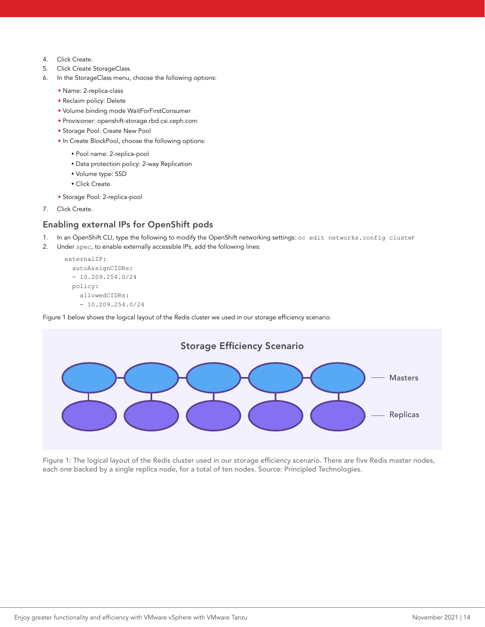- 4. Click Create.
- 5. Click Create StorageClass.
- 6. In the StorageClass menu, choose the following options:
	- Name: 2-replica-class
	- Reclaim policy: Delete
	- Volume binding mode WaitForFirstConsumer
	- Provisioner: openshift-storage.rbd.csi.ceph.com
	- Storage Pool: Create New Pool
	- In Create BlockPool, choose the following options:
		- Pool name: 2-replica-pool
		- Data protection policy: 2-way Replication
		- Volume type: SSD
		- Click Create.
	- Storage Pool: 2-replica-pool
- 7. Click Create.

#### Enabling external IPs for OpenShift pods

- 1. In an OpenShift CLI, type the following to modify the OpenShift networking settings: oc edit networks.config cluster
- 2. Under spec, to enable externally accessible IPs, add the following lines:

```
 externalIP:
   autoAssignCIDRs:
   - 10.209.254.0/24
   policy:
     allowedCIDRs:
    -10.209.254.0/24
```
Figure 1 below shows the logical layout of the Redis cluster we used in our storage efficiency scenario.



Figure 1: The logical layout of the Redis cluster used in our storage efficiency scenario. There are five Redis master nodes, each one backed by a single replica node, for a total of ten nodes. Source: Principled Technologies.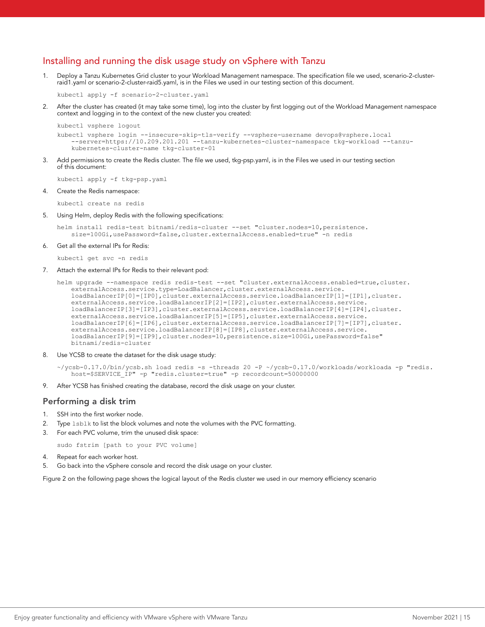### Installing and running the disk usage study on vSphere with Tanzu

1. Deploy a Tanzu Kubernetes Grid cluster to your Workload Management namespace. The specification file we used, scenario-2-clusterraid1.yaml or scenario-2-cluster-raid5.yaml, is in the Files we used in our testing section of this document.

kubectl apply -f scenario-2-cluster.yaml

After the cluster has created (it may take some time), log into the cluster by first logging out of the Workload Management namespace context and logging in to the context of the new cluster you created:

```
kubectl vsphere logout
kubectl vsphere login --insecure-skip-tls-verify --vsphere-username devops@vsphere.local 
    --server=https://10.209.201.201 --tanzu-kubernetes-cluster-namespace tkg-workload --tanzu-
   kubernetes-cluster-name tkg-cluster-01
```
3. Add permissions to create the Redis cluster. The file we used, tkg-psp.yaml, is in the Files we used in our testing section of this document:

kubectl apply -f tkg-psp.yaml

4. Create the Redis namespace:

kubectl create ns redis

5. Using Helm, deploy Redis with the following specifications:

helm install redis-test bitnami/redis-cluster --set "cluster.nodes=10,persistence. size=100Gi,usePassword=false,cluster.externalAccess.enabled=true" -n redis

Get all the external IPs for Redis:

kubectl get svc -n redis

7. Attach the external IPs for Redis to their relevant pod:

```
helm upgrade --namespace redis redis-test --set "cluster.externalAccess.enabled=true,cluster.
   externalAccess.service.type=LoadBalancer,cluster.externalAccess.service.
   loadBalancerIP[0]=[IP0],cluster.externalAccess.service.loadBalancerIP[1]=[IP1],cluster.
   externalAccess.service.loadBalancerIP[2]=[IP2],cluster.externalAccess.service.
   loadBalancerIP[3]=[IP3],cluster.externalAccess.service.loadBalancerIP[4]=[IP4],cluster.
   externalAccess.service.loadBalancerIP[5]=[IP5],cluster.externalAccess.service.
   loadBalancerIP[6]=[IP6],cluster.externalAccess.service.loadBalancerIP[7]=[IP7],cluster.
   externalAccess.service.loadBalancerIP[8]=[IP8],cluster.externalAccess.service.
   loadBalancerIP[9]=[IP9],cluster.nodes=10,persistence.size=100Gi,usePassword=false" 
   bitnami/redis-cluster
```
8. Use YCSB to create the dataset for the disk usage study:

```
~/ycsb-0.17.0/bin/ycsb.sh load redis -s -threads 20 -P ~/ycsb-0.17.0/workloads/workloada -p "redis.
   host=$SERVICE_IP" -p "redis.cluster=true" -p recordcount=50000000
```
9. After YCSB has finished creating the database, record the disk usage on your cluster.

#### Performing a disk trim

- 1. SSH into the first worker node.
- 2. Type lsblk to list the block volumes and note the volumes with the PVC formatting.
- 3. For each PVC volume, trim the unused disk space:

sudo fstrim [path to your PVC volume]

- 4. Repeat for each worker host.
- 5. Go back into the vSphere console and record the disk usage on your cluster.

Figure 2 on the following page shows the logical layout of the Redis cluster we used in our memory efficiency scenario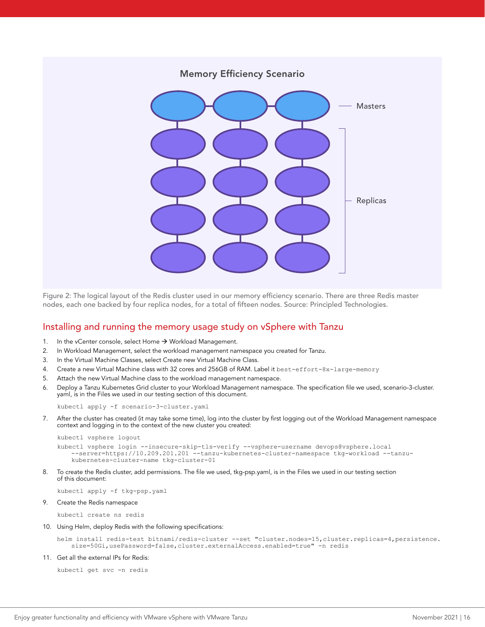

Figure 2: The logical layout of the Redis cluster used in our memory efficiency scenario. There are three Redis master nodes, each one backed by four replica nodes, for a total of fifteen nodes. Source: Principled Technologies.

### Installing and running the memory usage study on vSphere with Tanzu

- 1. In the vCenter console, select Home  $\rightarrow$  Workload Management.
- 2. In Workload Management, select the workload management namespace you created for Tanzu.
- 3. In the Virtual Machine Classes, select Create new Virtual Machine Class.
- 4. Create a new Virtual Machine class with 32 cores and 256GB of RAM. Label it best-effort-8x-large-memory
- 5. Attach the new Virtual Machine class to the workload management namespace.
- 6. Deploy a Tanzu Kubernetes Grid cluster to your Workload Management namespace. The specification file we used, scenario-3-cluster. yaml, is in the Files we used in our testing section of this document.

kubectl apply -f scenario-3-cluster.yaml

7. After the cluster has created (it may take some time), log into the cluster by first logging out of the Workload Management namespace context and logging in to the context of the new cluster you created:

```
kubectl vsphere logout
```

```
kubectl vsphere login --insecure-skip-tls-verify --vsphere-username devops@vsphere.local 
    --server=https://10.209.201.201 --tanzu-kubernetes-cluster-namespace tkg-workload --tanzu-
   kubernetes-cluster-name tkg-cluster-01
```
8. To create the Redis cluster, add permissions. The file we used, tkg-psp.yaml, is in the Files we used in our testing section of this document:

kubectl apply -f tkg-psp.yaml

9. Create the Redis namespace

kubectl create ns redis

10. Using Helm, deploy Redis with the following specifications:

```
helm install redis-test bitnami/redis-cluster --set "cluster.nodes=15,cluster.replicas=4,persistence.
   size=50Gi,usePassword=false,cluster.externalAccess.enabled=true" -n redis
```
11. Get all the external IPs for Redis:

```
kubectl get svc -n redis
```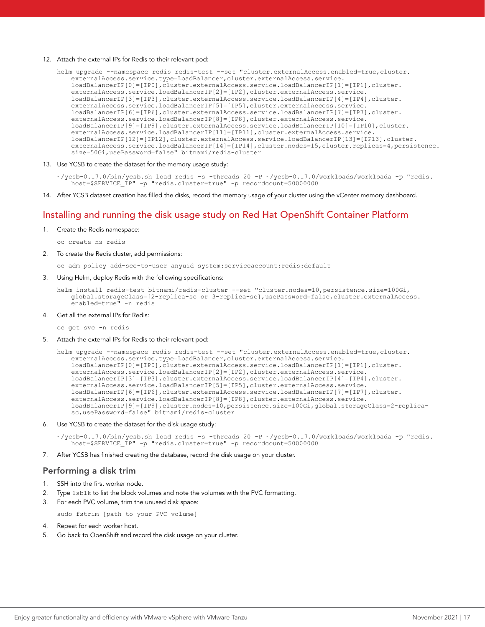#### 12. Attach the external IPs for Redis to their relevant pod:

helm upgrade --namespace redis redis-test --set "cluster.externalAccess.enabled=true,cluster. externalAccess.service.type=LoadBalancer,cluster.externalAccess.service. loadBalancerIP[0]=[IP0],cluster.externalAccess.service.loadBalancerIP[1]=[IP1],cluster. externalAccess.service.loadBalancerIP[2]=[IP2],cluster.externalAccess.service. loadBalancerIP[3]=[IP3],cluster.externalAccess.service.loadBalancerIP[4]=[IP4],cluster. externalAccess.service.loadBalancerIP[5]=[IP5],cluster.externalAccess.service. loadBalancerIP[6]=[IP6],cluster.externalAccess.service.loadBalancerIP[7]=[IP7],cluster. externalAccess.service.loadBalancerIP[8]=[IP8],cluster.externalAccess.service. loadBalancerIP[9]=[IP9],cluster.externalAccess.service.loadBalancerIP[10]=[IP10],cluster. externalAccess.service.loadBalancerIP[11]=[IP11],cluster.externalAccess.service. loadBalancerIP[12]=[IP12],cluster.externalAccess.service.loadBalancerIP[13]=[IP13],cluster. externalAccess.service.loadBalancerIP[14]=[IP14],cluster.nodes=15,cluster.replicas=4,persistence. size=50Gi,usePassword=false" bitnami/redis-cluster

13. Use YCSB to create the dataset for the memory usage study:

~/ycsb-0.17.0/bin/ycsb.sh load redis -s -threads 20 -P ~/ycsb-0.17.0/workloads/workloada -p "redis. host=\$SERVICE\_IP" -p "redis.cluster=true" -p recordcount=50000000

14. After YCSB dataset creation has filled the disks, record the memory usage of your cluster using the vCenter memory dashboard.

### Installing and running the disk usage study on Red Hat OpenShift Container Platform

1. Create the Redis namespace:

oc create ns redis

2. To create the Redis cluster, add permissions:

oc adm policy add-scc-to-user anyuid system:serviceaccount:redis:default

3. Using Helm, deploy Redis with the following specifications:

```
helm install redis-test bitnami/redis-cluster --set "cluster.nodes=10,persistence.size=100Gi, 
   global.storageClass=[2-replica-sc or 3-replica-sc],usePassword=false,cluster.externalAccess.
   enabled=true" -n redis
```
4. Get all the external IPs for Redis:

oc get svc -n redis

5. Attach the external IPs for Redis to their relevant pod:

```
helm upgrade --namespace redis redis-test --set "cluster.externalAccess.enabled=true,cluster.
   externalAccess.service.type=LoadBalancer,cluster.externalAccess.service.
   loadBalancerIP[0]=[IP0],cluster.externalAccess.service.loadBalancerIP[1]=[IP1],cluster.
   externalAccess.service.loadBalancerIP[2]=[IP2],cluster.externalAccess.service.
   loadBalancerIP[3]=[IP3],cluster.externalAccess.service.loadBalancerIP[4]=[IP4],cluster.
   externalAccess.service.loadBalancerIP[5]=[IP5],cluster.externalAccess.service.
   loadBalancerIP[6]=[IP6],cluster.externalAccess.service.loadBalancerIP[7]=[IP7],cluster.
   externalAccess.service.loadBalancerIP[8]=[IP8],cluster.externalAccess.service.
   loadBalancerIP[9]=[IP9],cluster.nodes=10,persistence.size=100Gi,global.storageClass=2-replica-
   sc,usePassword=false" bitnami/redis-cluster
```
Use YCSB to create the dataset for the disk usage study:

 $\gamma$ ycsb-0.17.0/bin/ycsb.sh load redis -s -threads 20 -P  $\gamma$ ycsb-0.17.0/workloads/workloada -p "redis. host=\$SERVICE\_IP" -p "redis.cluster=true" -p recordcount=50000000

7. After YCSB has finished creating the database, record the disk usage on your cluster.

#### Performing a disk trim

- 1. SSH into the first worker node.
- 2. Type lsblk to list the block volumes and note the volumes with the PVC formatting.
- 3. For each PVC volume, trim the unused disk space:

sudo fstrim [path to your PVC volume]

- 4. Repeat for each worker host.
- 5. Go back to OpenShift and record the disk usage on your cluster.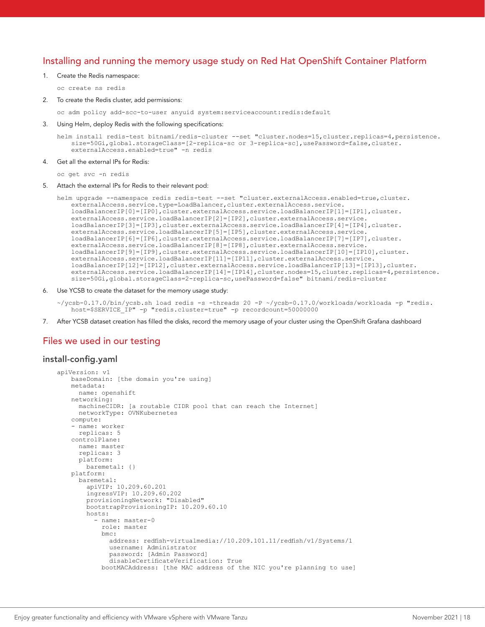### Installing and running the memory usage study on Red Hat OpenShift Container Platform

1. Create the Redis namespace:

oc create ns redis

2. To create the Redis cluster, add permissions:

oc adm policy add-scc-to-user anyuid system:serviceaccount:redis:default

3. Using Helm, deploy Redis with the following specifications:

```
helm install redis-test bitnami/redis-cluster --set "cluster.nodes=15,cluster.replicas=4,persistence.
   size=50Gi,global.storageClass=[2-replica-sc or 3-replica-sc],usePassword=false,cluster.
   externalAccess.enabled=true" -n redis
```
#### 4. Get all the external IPs for Redis:

oc get svc -n redis

Attach the external IPs for Redis to their relevant pod:

```
helm upgrade --namespace redis redis-test --set "cluster.externalAccess.enabled=true,cluster.
   externalAccess.service.type=LoadBalancer,cluster.externalAccess.service.
   loadBalancerIP[0]=[IP0],cluster.externalAccess.service.loadBalancerIP[1]=[IP1],cluster.
   externalAccess.service.loadBalancerIP[2]=[IP2],cluster.externalAccess.service.
   loadBalancerIP[3]=[IP3],cluster.externalAccess.service.loadBalancerIP[4]=[IP4],cluster.
   externalAccess.service.loadBalancerIP[5]=[IP5],cluster.externalAccess.service.
   loadBalancerIP[6]=[IP6],cluster.externalAccess.service.loadBalancerIP[7]=[IP7],cluster.
   externalAccess.service.loadBalancerIP[8]=[IP8],cluster.externalAccess.service.
   loadBalancerIP[9]=[IP9],cluster.externalAccess.service.loadBalancerIP[10]=[IP10],cluster.
   externalAccess.service.loadBalancerIP[11]=[IP11],cluster.externalAccess.service.
   loadBalancerIP[12]=[IP12],cluster.externalAccess.service.loadBalancerIP[13]=[IP13],cluster.
   externalAccess.service.loadBalancerIP[14]=[IP14],cluster.nodes=15,cluster.replicas=4,persistence.
   size=50Gi,global.storageClass=2-replica-sc,usePassword=false" bitnami/redis-cluster
```
Use YCSB to create the dataset for the memory usage study:

```
\gammaycsb-0.17.0/bin/ycsb.sh load redis -s -threads 20 -P \gammaycsb-0.17.0/workloads/workloada -p "redis.
   host=$SERVICE_IP" -p "redis.cluster=true" -p recordcount=50000000
```
7. After YCSB dataset creation has filled the disks, record the memory usage of your cluster using the OpenShift Grafana dashboard

#### Files we used in our testing

#### install-config.yaml

```
apiVersion: v1
   baseDomain: [the domain you're using] 
   metadata:
      name: openshift
    networking:
      machineCIDR: [a routable CIDR pool that can reach the Internet]
      networkType: OVNKubernetes
   compute:
     - name: worker
      replicas: 5
    controlPlane:
      name: master
       replicas: 3
      platform:
        baremetal: {}
    platform:
       baremetal:
         apiVIP: 10.209.60.201
         ingressVIP: 10.209.60.202
         provisioningNetwork: "Disabled"
         bootstrapProvisioningIP: 10.209.60.10
         hosts:
           - name: master-0
             role: master
             bmc:
               address: redfish-virtualmedia://10.209.101.11/redfish/v1/Systems/1
               username: Administrator
               password: [Admin Password]
               disableCertificateVerification: True
             bootMACAddress: [the MAC address of the NIC you're planning to use]
```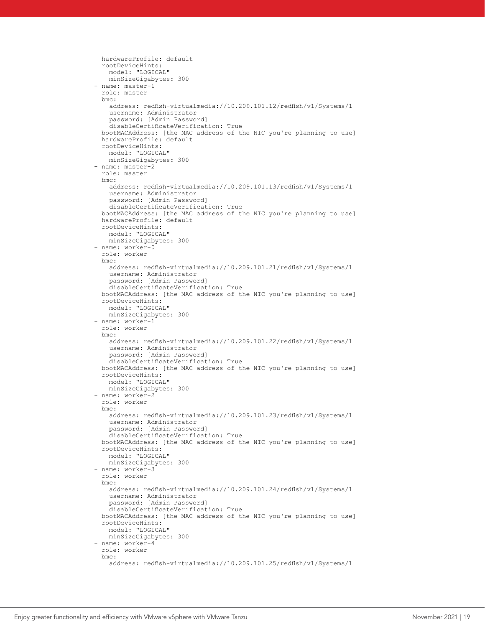```
 hardwareProfile: default
         rootDeviceHints:
           model: "LOGICAL"
          minSizeGigabytes: 300
       - name: master-1
         role: master
        bmc:
           address: redfish-virtualmedia://10.209.101.12/redfish/v1/Systems/1
           username: Administrator
          password: [Admin Password]
           disableCertificateVerification: True
        bootMACAddress: [the MAC address of the NIC you're planning to use]
        hardwareProfile: default
         rootDeviceHints:
          model: "LOGICAL"
          minSizeGigabytes: 300
       - name: master-2
         role: master
         bmc:
          address: redfish-virtualmedia://10.209.101.13/redfish/v1/Systems/1
           username: Administrator
           password: [Admin Password]
          disableCertificateVerification: True
 bootMACAddress: [the MAC address of the NIC you're planning to use]
 hardwareProfile: default
        rootDeviceHints:
          model: "LOGICAL"
          minSizeGigabytes: 300
       - name: worker-0
         role: worker
        bmc:
          address: redfish-virtualmedia://10.209.101.21/redfish/v1/Systems/1
          username: Administrator
          password: [Admin Password]
          disableCertificateVerification: True
        bootMACAddress: [the MAC address of the NIC you're planning to use]
         rootDeviceHints:
          model: "LOGICAL"
          minSizeGigabytes: 300
       - name: worker-1
        role: worker
        bmc:
          address: redfish-virtualmedia://10.209.101.22/redfish/v1/Systems/1
           username: Administrator
           password: [Admin Password]
          disableCertificateVerification: True
        bootMACAddress: [the MAC address of the NIC you're planning to use]
         rootDeviceHints:
          model: "LOGICAL"
          minSizeGigabytes: 300
       - name: worker-2
        role: worker
        bmc:
          address: redfish-virtualmedia://10.209.101.23/redfish/v1/Systems/1
           username: Administrator
          password: [Admin Password]
           disableCertificateVerification: True
        bootMACAddress: [the MAC address of the NIC you're planning to use]
        rootDeviceHints:
          model: "LOGICAL"
          minSizeGigabytes: 300
       - name: worker-3
         role: worker
        bmc:
           address: redfish-virtualmedia://10.209.101.24/redfish/v1/Systems/1
          username: Administrator
           password: [Admin Password]
           disableCertificateVerification: True
        bootMACAddress: [the MAC address of the NIC you're planning to use]
        rootDeviceHints:
          model: "LOGICAL"
          minSizeGigabytes: 300
       - name: worker-4
        role: worker
        bmc:
           address: redfish-virtualmedia://10.209.101.25/redfish/v1/Systems/1
```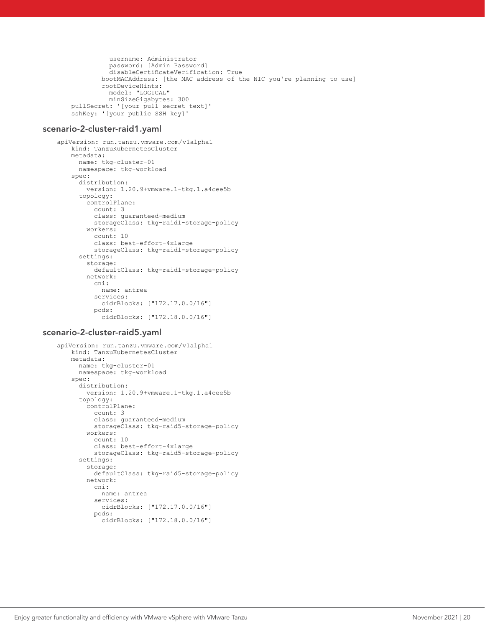```
 username: Administrator
           password: [Admin Password]
           disableCertificateVerification: True
         bootMACAddress: [the MAC address of the NIC you're planning to use]
         rootDeviceHints:
           model: "LOGICAL"
           minSizeGigabytes: 300
pullSecret: '[your pull secret text]'
sshKey: '[your public SSH key]'
```
#### scenario-2-cluster-raid1.yaml

```
apiVersion: run.tanzu.vmware.com/v1alpha1
   kind: TanzuKubernetesCluster
   metadata:
      name: tkg-cluster-01
      namespace: tkg-workload
   spec:
      distribution:
        version: 1.20.9+vmware.1-tkg.1.a4cee5b
      topology:
        controlPlane:
           count: 3
           class: guaranteed-medium
           storageClass: tkg-raid1-storage-policy
         workers:
           count: 10
           class: best-effort-4xlarge
           storageClass: tkg-raid1-storage-policy
       settings:
        storage:
           defaultClass: tkg-raid1-storage-policy
        network:
           cni:
            name: antrea
           services:
             cidrBlocks: ["172.17.0.0/16"]
           pods:
             cidrBlocks: ["172.18.0.0/16"]
```
#### scenario-2-cluster-raid5.yaml

```
apiVersion: run.tanzu.vmware.com/v1alpha1
    kind: TanzuKubernetesCluster
    metadata:
      name: tkg-cluster-01
      namespace: tkg-workload
    spec:
      distribution:
         version: 1.20.9+vmware.1-tkg.1.a4cee5b
       topology:
         controlPlane:
           count: 3
           class: guaranteed-medium
           storageClass: tkg-raid5-storage-policy
         workers:
           count: 10
           class: best-effort-4xlarge
           storageClass: tkg-raid5-storage-policy
       settings:
         storage:
           defaultClass: tkg-raid5-storage-policy
         network:
           cni:
             name: antrea
           services:
             cidrBlocks: ["172.17.0.0/16"]
           pods:
             cidrBlocks: ["172.18.0.0/16"]
```